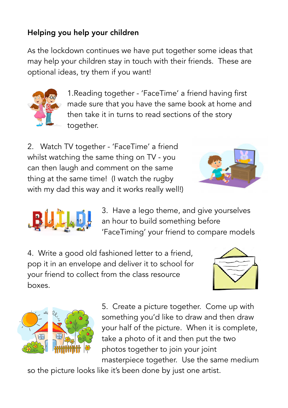## Helping you help your children

As the lockdown continues we have put together some ideas that may help your children stay in touch with their friends. These are optional ideas, try them if you want!



1.Reading together - 'FaceTime' a friend having first made sure that you have the same book at home and then take it in turns to read sections of the story together.

2. Watch TV together - 'FaceTime' a friend whilst watching the same thing on TV - you can then laugh and comment on the same thing at the same time! (I watch the rugby with my dad this way and it works really well!)





3. Have a lego theme, and give yourselves an hour to build something before 'FaceTiming' your friend to compare models

4. Write a good old fashioned letter to a friend, pop it in an envelope and deliver it to school for your friend to collect from the class resource boxes.





5. Create a picture together. Come up with something you'd like to draw and then draw your half of the picture. When it is complete, take a photo of it and then put the two photos together to join your joint masterpiece together. Use the same medium

so the picture looks like it's been done by just one artist.